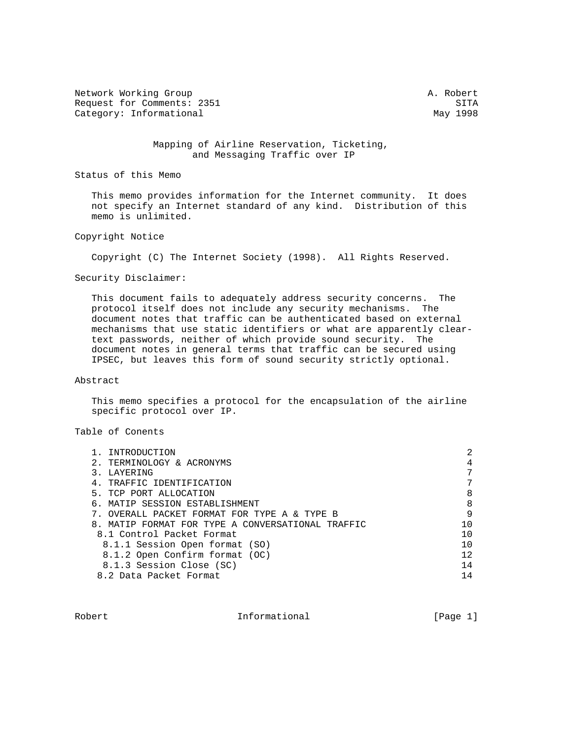Network Working Group and the set of the set of the set of the set of the set of the set of the set of the set of the set of the set of the set of the set of the set of the set of the set of the set of the set of the set o Request for Comments: 2351 SITA Category: Informational May 1998

 Mapping of Airline Reservation, Ticketing, and Messaging Traffic over IP

Status of this Memo

 This memo provides information for the Internet community. It does not specify an Internet standard of any kind. Distribution of this memo is unlimited.

## Copyright Notice

Copyright (C) The Internet Society (1998). All Rights Reserved.

Security Disclaimer:

 This document fails to adequately address security concerns. The protocol itself does not include any security mechanisms. The document notes that traffic can be authenticated based on external mechanisms that use static identifiers or what are apparently clear text passwords, neither of which provide sound security. The document notes in general terms that traffic can be secured using IPSEC, but leaves this form of sound security strictly optional.

# Abstract

 This memo specifies a protocol for the encapsulation of the airline specific protocol over IP.

## Table of Conents

| INTRODUCTION                                      | 2   |
|---------------------------------------------------|-----|
| TERMINOLOGY & ACRONYMS                            |     |
| LAYERING                                          |     |
| 4. TRAFFIC IDENTIFICATION                         |     |
| 5. TCP PORT ALLOCATION                            | 8   |
| 6. MATIP SESSION ESTABLISHMENT                    | 8   |
| OVERALL PACKET FORMAT FOR TYPE A & TYPE B         | 9   |
| 8. MATIP FORMAT FOR TYPE A CONVERSATIONAL TRAFFIC | 1 ೧ |
| 8.1 Control Packet Format                         | 1 ೧ |
| 8.1.1 Session Open format (SO)                    |     |
| 8.1.2 Open Confirm format (OC)                    | 12  |
| 8.1.3 Session Close (SC)                          | 14  |
| 8.2 Data Packet Format                            | 14  |
|                                                   |     |

Robert 11 Theorem Informational 1999 (Page 1)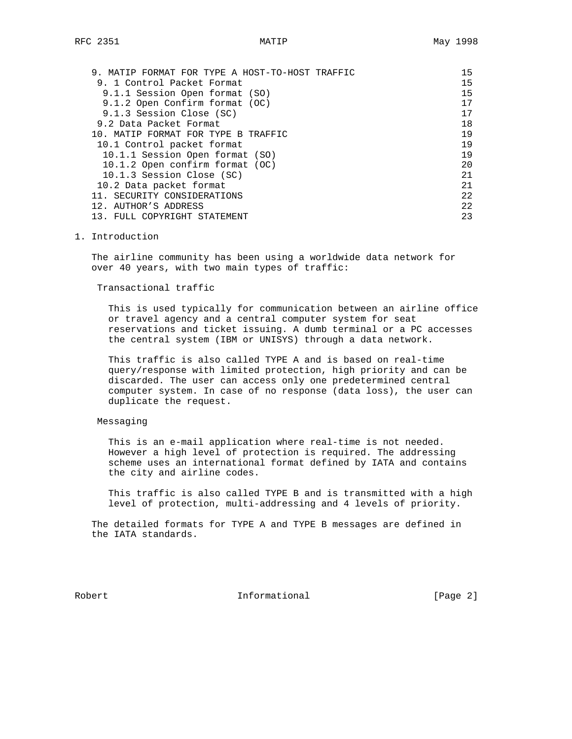| MATIP FORMAT FOR TYPE A HOST-TO-HOST TRAFFIC<br>9. | 15 |
|----------------------------------------------------|----|
| 9. 1 Control Packet Format                         | 15 |
| 9.1.1 Session Open format (SO)                     | 15 |
| 9.1.2 Open Confirm format (OC)                     | 17 |
| 9.1.3 Session Close (SC)                           | 17 |
| 9.2 Data Packet Format                             | 18 |
| 10. MATIP FORMAT FOR TYPE B TRAFFIC                | 19 |
| 10.1 Control packet format                         | 19 |
| 10.1.1 Session Open format (SO)                    | 19 |
| 10.1.2 Open confirm format (OC)                    | 20 |
| 10.1.3 Session Close (SC)                          | 21 |
| 10.2 Data packet format                            | 21 |
| SECURITY CONSIDERATIONS                            | 22 |
| 12. AUTHOR'S ADDRESS                               | 22 |
| FULL COPYRIGHT STATEMENT                           | 23 |

1. Introduction

 The airline community has been using a worldwide data network for over 40 years, with two main types of traffic:

Transactional traffic

 This is used typically for communication between an airline office or travel agency and a central computer system for seat reservations and ticket issuing. A dumb terminal or a PC accesses the central system (IBM or UNISYS) through a data network.

 This traffic is also called TYPE A and is based on real-time query/response with limited protection, high priority and can be discarded. The user can access only one predetermined central computer system. In case of no response (data loss), the user can duplicate the request.

### Messaging

 This is an e-mail application where real-time is not needed. However a high level of protection is required. The addressing scheme uses an international format defined by IATA and contains the city and airline codes.

 This traffic is also called TYPE B and is transmitted with a high level of protection, multi-addressing and 4 levels of priority.

 The detailed formats for TYPE A and TYPE B messages are defined in the IATA standards.

Robert 1nformational [Page 2]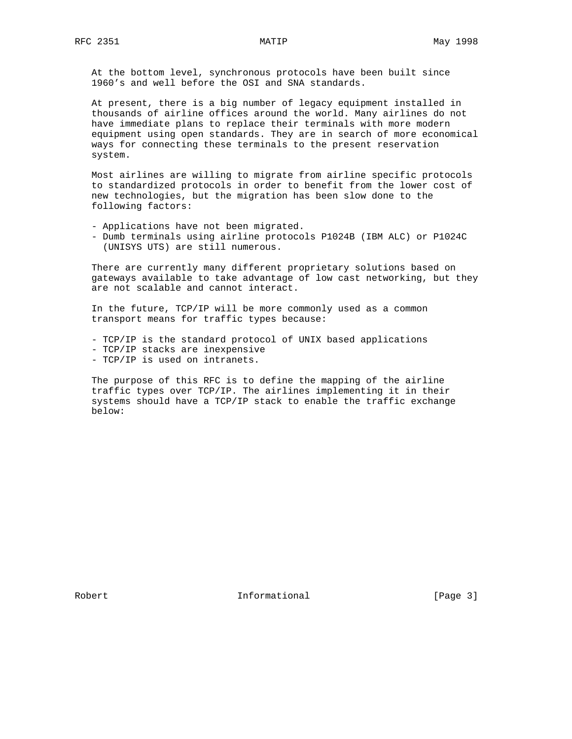At the bottom level, synchronous protocols have been built since 1960's and well before the OSI and SNA standards.

 At present, there is a big number of legacy equipment installed in thousands of airline offices around the world. Many airlines do not have immediate plans to replace their terminals with more modern equipment using open standards. They are in search of more economical ways for connecting these terminals to the present reservation system.

 Most airlines are willing to migrate from airline specific protocols to standardized protocols in order to benefit from the lower cost of new technologies, but the migration has been slow done to the following factors:

- Applications have not been migrated.
- Dumb terminals using airline protocols P1024B (IBM ALC) or P1024C (UNISYS UTS) are still numerous.

 There are currently many different proprietary solutions based on gateways available to take advantage of low cast networking, but they are not scalable and cannot interact.

 In the future, TCP/IP will be more commonly used as a common transport means for traffic types because:

- TCP/IP is the standard protocol of UNIX based applications
- TCP/IP stacks are inexpensive
- TCP/IP is used on intranets.

 The purpose of this RFC is to define the mapping of the airline traffic types over TCP/IP. The airlines implementing it in their systems should have a TCP/IP stack to enable the traffic exchange below:

Robert 10 1nformational [Page 3]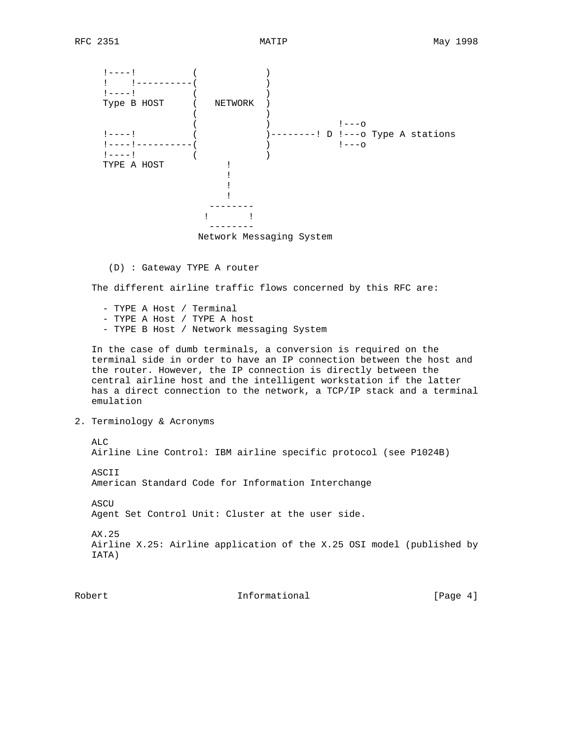

Network Messaging System

(D) : Gateway TYPE A router

The different airline traffic flows concerned by this RFC are:

 - TYPE A Host / Terminal - TYPE A Host / TYPE A host - TYPE B Host / Network messaging System

 In the case of dumb terminals, a conversion is required on the terminal side in order to have an IP connection between the host and the router. However, the IP connection is directly between the central airline host and the intelligent workstation if the latter has a direct connection to the network, a TCP/IP stack and a terminal emulation

2. Terminology & Acronyms

 ALC Airline Line Control: IBM airline specific protocol (see P1024B) ASCII American Standard Code for Information Interchange ASCU Agent Set Control Unit: Cluster at the user side. AX.25 Airline X.25: Airline application of the X.25 OSI model (published by IATA)

Robert 1nformational [Page 4]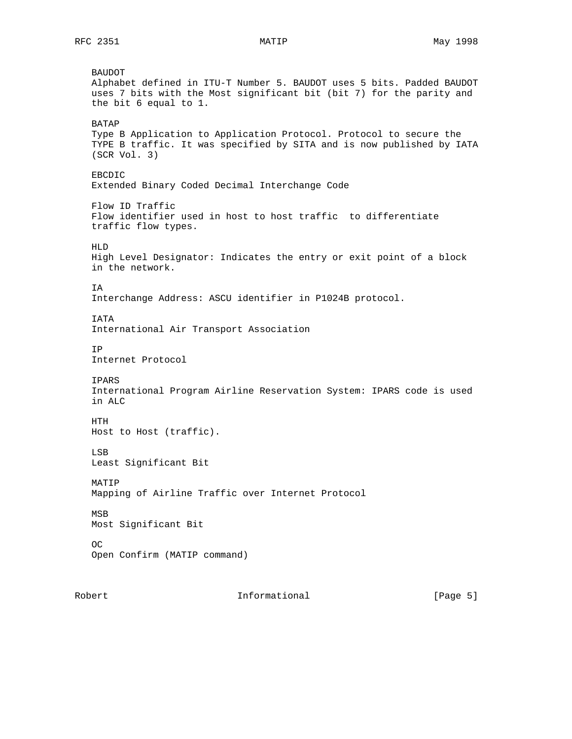BAUDOT Alphabet defined in ITU-T Number 5. BAUDOT uses 5 bits. Padded BAUDOT uses 7 bits with the Most significant bit (bit 7) for the parity and the bit 6 equal to 1. BATAP Type B Application to Application Protocol. Protocol to secure the TYPE B traffic. It was specified by SITA and is now published by IATA (SCR Vol. 3) EBCDIC Extended Binary Coded Decimal Interchange Code Flow ID Traffic Flow identifier used in host to host traffic to differentiate traffic flow types. HLD High Level Designator: Indicates the entry or exit point of a block in the network. IA Interchange Address: ASCU identifier in P1024B protocol. **TATA**  International Air Transport Association IP Internet Protocol IPARS International Program Airline Reservation System: IPARS code is used in ALC HTH Host to Host (traffic). LSB Least Significant Bit MATIP Mapping of Airline Traffic over Internet Protocol MSB Most Significant Bit OC Open Confirm (MATIP command)

Robert 10 1nformational 1996 [Page 5]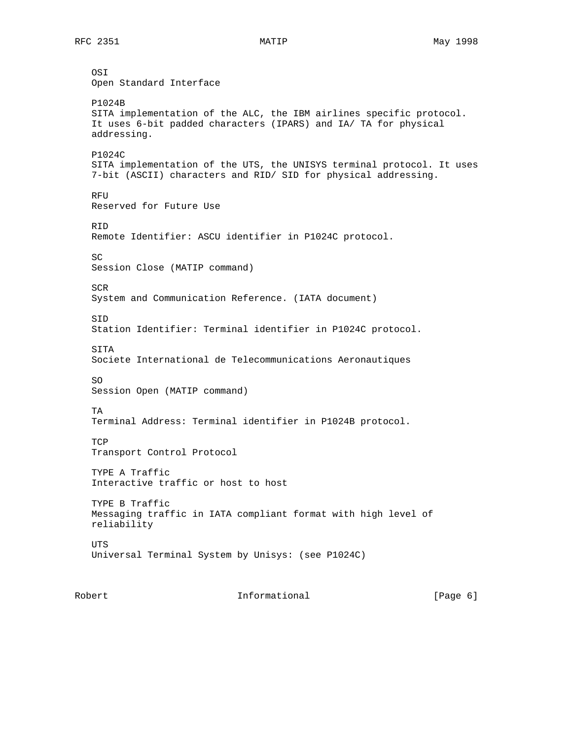OSI Open Standard Interface P1024B SITA implementation of the ALC, the IBM airlines specific protocol. It uses 6-bit padded characters (IPARS) and IA/ TA for physical addressing. P1024C SITA implementation of the UTS, the UNISYS terminal protocol. It uses 7-bit (ASCII) characters and RID/ SID for physical addressing. RFU Reserved for Future Use RID Remote Identifier: ASCU identifier in P1024C protocol. SC Session Close (MATIP command) **SCR**  System and Communication Reference. (IATA document) SID Station Identifier: Terminal identifier in P1024C protocol. **STTA**  Societe International de Telecommunications Aeronautiques SO Session Open (MATIP command) TA Terminal Address: Terminal identifier in P1024B protocol. **TCP**  Transport Control Protocol TYPE A Traffic Interactive traffic or host to host TYPE B Traffic Messaging traffic in IATA compliant format with high level of reliability UTS Universal Terminal System by Unisys: (see P1024C)

Robert 1nformational [Page 6]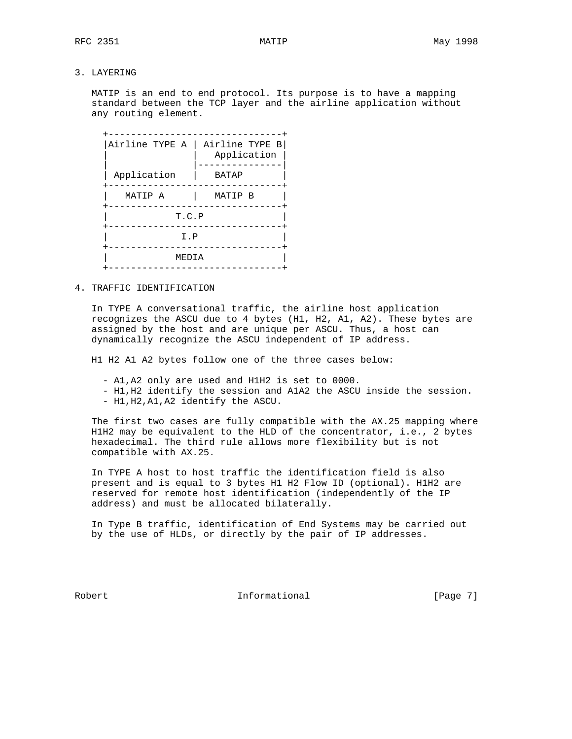MATIP is an end to end protocol. Its purpose is to have a mapping standard between the TCP layer and the airline application without any routing element.

| Airline TYPE A | Airline TYPE B<br>Application |  |  |  |  |  |  |  |  |  |  |
|----------------|-------------------------------|--|--|--|--|--|--|--|--|--|--|
| Application    | <b>BATAP</b>                  |  |  |  |  |  |  |  |  |  |  |
| MATIP A        | MATIP B                       |  |  |  |  |  |  |  |  |  |  |
|                | T.C.P                         |  |  |  |  |  |  |  |  |  |  |
|                | I.P                           |  |  |  |  |  |  |  |  |  |  |
|                | MEDIA<br>$- - - - - - -$      |  |  |  |  |  |  |  |  |  |  |
|                |                               |  |  |  |  |  |  |  |  |  |  |

## 4. TRAFFIC IDENTIFICATION

 In TYPE A conversational traffic, the airline host application recognizes the ASCU due to 4 bytes (H1, H2, A1, A2). These bytes are assigned by the host and are unique per ASCU. Thus, a host can dynamically recognize the ASCU independent of IP address.

H1 H2 A1 A2 bytes follow one of the three cases below:

- A1,A2 only are used and H1H2 is set to 0000.
- H1,H2 identify the session and A1A2 the ASCU inside the session.
- H1,H2,A1,A2 identify the ASCU.

 The first two cases are fully compatible with the AX.25 mapping where H1H2 may be equivalent to the HLD of the concentrator, i.e., 2 bytes hexadecimal. The third rule allows more flexibility but is not compatible with AX.25.

 In TYPE A host to host traffic the identification field is also present and is equal to 3 bytes H1 H2 Flow ID (optional). H1H2 are reserved for remote host identification (independently of the IP address) and must be allocated bilaterally.

 In Type B traffic, identification of End Systems may be carried out by the use of HLDs, or directly by the pair of IP addresses.

Robert 10 1nformational 1996 [Page 7]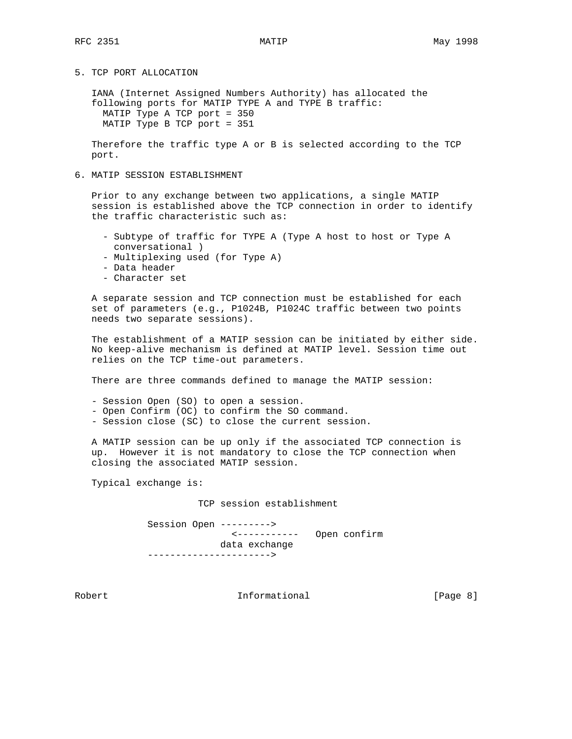5. TCP PORT ALLOCATION

 IANA (Internet Assigned Numbers Authority) has allocated the following ports for MATIP TYPE A and TYPE B traffic: MATIP Type A TCP port = 350 MATIP Type B TCP port = 351

 Therefore the traffic type A or B is selected according to the TCP port.

6. MATIP SESSION ESTABLISHMENT

 Prior to any exchange between two applications, a single MATIP session is established above the TCP connection in order to identify the traffic characteristic such as:

- Subtype of traffic for TYPE A (Type A host to host or Type A conversational )
- Multiplexing used (for Type A)
- Data header
- Character set

 A separate session and TCP connection must be established for each set of parameters (e.g., P1024B, P1024C traffic between two points needs two separate sessions).

 The establishment of a MATIP session can be initiated by either side. No keep-alive mechanism is defined at MATIP level. Session time out relies on the TCP time-out parameters.

There are three commands defined to manage the MATIP session:

- Session Open (SO) to open a session.
- Open Confirm (OC) to confirm the SO command.
- Session close (SC) to close the current session.

 A MATIP session can be up only if the associated TCP connection is up. However it is not mandatory to close the TCP connection when closing the associated MATIP session.

Typical exchange is:

TCP session establishment

 Session Open ---------> <----------- Open confirm data exchange ---------------------->

Robert 1nformational 1999 [Page 8]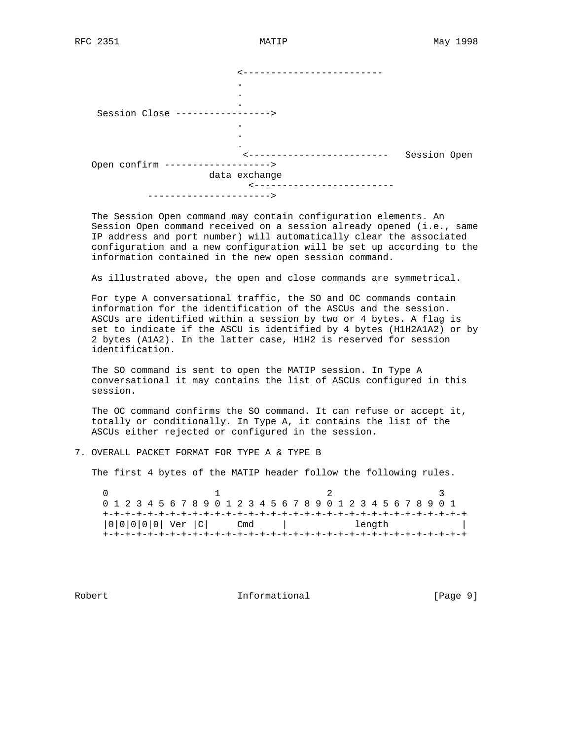|                                   | --------------          |              |  |
|-----------------------------------|-------------------------|--------------|--|
|                                   | ٠                       |              |  |
|                                   | $\bullet$               |              |  |
|                                   | $\bullet$               |              |  |
| Session Close ----------------->  |                         |              |  |
|                                   |                         |              |  |
|                                   |                         |              |  |
|                                   | $\bullet$               |              |  |
|                                   | ----------------------- | Session Open |  |
| Open confirm -------------------> |                         |              |  |
|                                   | data exchange           |              |  |
|                                   | ---------------         |              |  |
| ------------------------          |                         |              |  |

 The Session Open command may contain configuration elements. An Session Open command received on a session already opened (i.e., same IP address and port number) will automatically clear the associated configuration and a new configuration will be set up according to the information contained in the new open session command.

As illustrated above, the open and close commands are symmetrical.

 For type A conversational traffic, the SO and OC commands contain information for the identification of the ASCUs and the session. ASCUs are identified within a session by two or 4 bytes. A flag is set to indicate if the ASCU is identified by 4 bytes (H1H2A1A2) or by 2 bytes (A1A2). In the latter case, H1H2 is reserved for session identification.

 The SO command is sent to open the MATIP session. In Type A conversational it may contains the list of ASCUs configured in this session.

 The OC command confirms the SO command. It can refuse or accept it, totally or conditionally. In Type A, it contains the list of the ASCUs either rejected or configured in the session.

7. OVERALL PACKET FORMAT FOR TYPE A & TYPE B

The first 4 bytes of the MATIP header follow the following rules.

|  |  |  |  |                         |  |  |     |  |  |  |  |  |        |  | 0 1 2 3 4 5 6 7 8 9 0 1 2 3 4 5 6 7 8 9 0 1 2 3 4 5 6 7 8 9 0 1 |  |  |  |
|--|--|--|--|-------------------------|--|--|-----|--|--|--|--|--|--------|--|-----------------------------------------------------------------|--|--|--|
|  |  |  |  |                         |  |  |     |  |  |  |  |  |        |  |                                                                 |  |  |  |
|  |  |  |  | $ 0 0 0 0 0 $ Ver $ C $ |  |  | Cmd |  |  |  |  |  | length |  |                                                                 |  |  |  |
|  |  |  |  |                         |  |  |     |  |  |  |  |  |        |  |                                                                 |  |  |  |

Robert 1nformational [Page 9]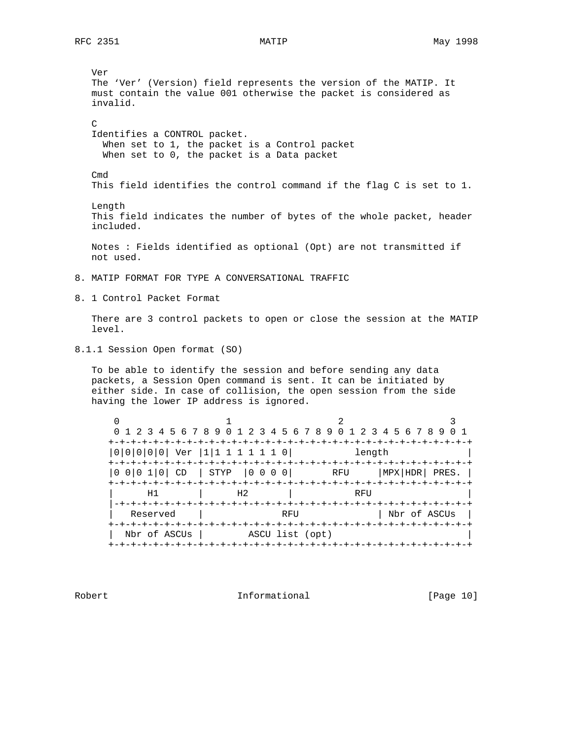Ver The 'Ver' (Version) field represents the version of the MATIP. It must contain the value 001 otherwise the packet is considered as invalid.  $\mathcal{C}$  Identifies a CONTROL packet. When set to 1, the packet is a Control packet When set to 0, the packet is a Data packet Cmd This field identifies the control command if the flag C is set to 1. Length This field indicates the number of bytes of the whole packet, header included. Notes : Fields identified as optional (Opt) are not transmitted if not used. 8. MATIP FORMAT FOR TYPE A CONVERSATIONAL TRAFFIC 8. 1 Control Packet Format There are 3 control packets to open or close the session at the MATIP level. 8.1.1 Session Open format (SO) To be able to identify the session and before sending any data packets, a Session Open command is sent. It can be initiated by either side. In case of collision, the open session from the side having the lower IP address is ignored.  $\begin{array}{cccccccccccccc} 0 & & & & 1 & & & & 2 & & & & 3 \end{array}$  0 1 2 3 4 5 6 7 8 9 0 1 2 3 4 5 6 7 8 9 0 1 2 3 4 5 6 7 8 9 0 1 +-+-+-+-+-+-+-+-+-+-+-+-+-+-+-+-+-+-+-+-+-+-+-+-+-+-+-+-+-+-+-+-+ |0|0|0|0|0| Ver |1|1 1 1 1 1 1 0| length | +-+-+-+-+-+-+-+-+-+-+-+-+-+-+-+-+-+-+-+-+-+-+-+-+-+-+-+-+-+-+-+-+ |0 0|0 1|0| CD | STYP |0 0 0 0| RFU |MPX|HDR| PRES. | +-+-+-+-+-+-+-+-+-+-+-+-+-+-+-+-+-+-+-+-+-+-+-+-+-+-+-+-+-+-+-+-+ | H1 | H2 | RFU | |-+-+-+-+-+-+-+-+-+-+-+-+-+-+-+-+-+-+-+-+-+-+-+-+-+-+-+-+-+-+-+-+ Reserved | RFU | Nbr of ASCUs | +-+-+-+-+-+-+-+-+-+-+-+-+-+-+-+-+-+-+-+-+-+-+-+-+-+-+-+-+-+-+-+-+ | Nbr of ASCUs | ASCU list (opt) | +-+-+-+-+-+-+-+-+-+-+-+-+-+-+-+-+-+-+-+-+-+-+-+-+-+-+-+-+-+-+-+-+

Robert 10 Informational [Page 10]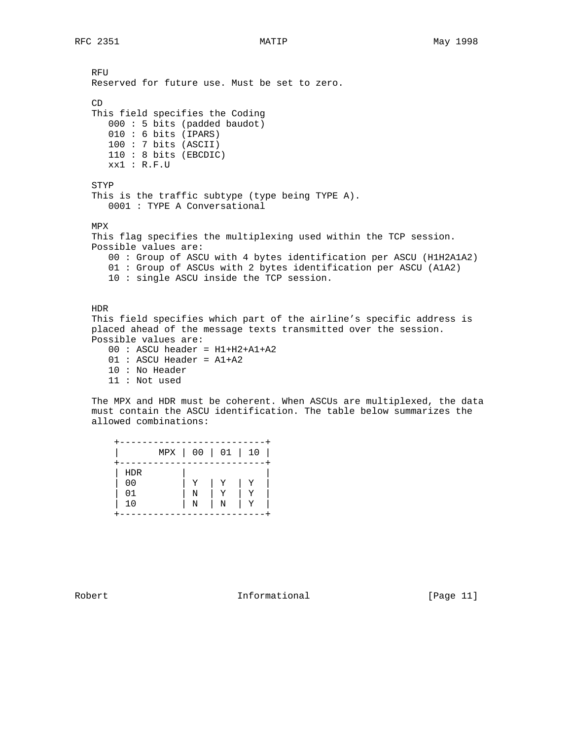RFU Reserved for future use. Must be set to zero.  $CD$  This field specifies the Coding 000 : 5 bits (padded baudot) 010 : 6 bits (IPARS) 100 : 7 bits (ASCII) 110 : 8 bits (EBCDIC) xx1 : R.F.U STYP This is the traffic subtype (type being TYPE A). 0001 : TYPE A Conversational MPX This flag specifies the multiplexing used within the TCP session. Possible values are: 00 : Group of ASCU with 4 bytes identification per ASCU (H1H2A1A2) 01 : Group of ASCUs with 2 bytes identification per ASCU (A1A2) 10 : single ASCU inside the TCP session. HDR This field specifies which part of the airline's specific address is placed ahead of the message texts transmitted over the session. Possible values are:  $00 : ASCII header = H1+H2+A1+A2$  01 : ASCU Header = A1+A2 10 : No Header 11 : Not used

 The MPX and HDR must be coherent. When ASCUs are multiplexed, the data must contain the ASCU identification. The table below summarizes the allowed combinations:

|                      |   | MPX   00   01   10 |   |
|----------------------|---|--------------------|---|
| <b>HDR</b>           |   |                    |   |
| 0 <sub>0</sub><br>01 | Ν |                    |   |
| 10                   | N | Ν                  | Y |

Robert 1nformational [Page 11]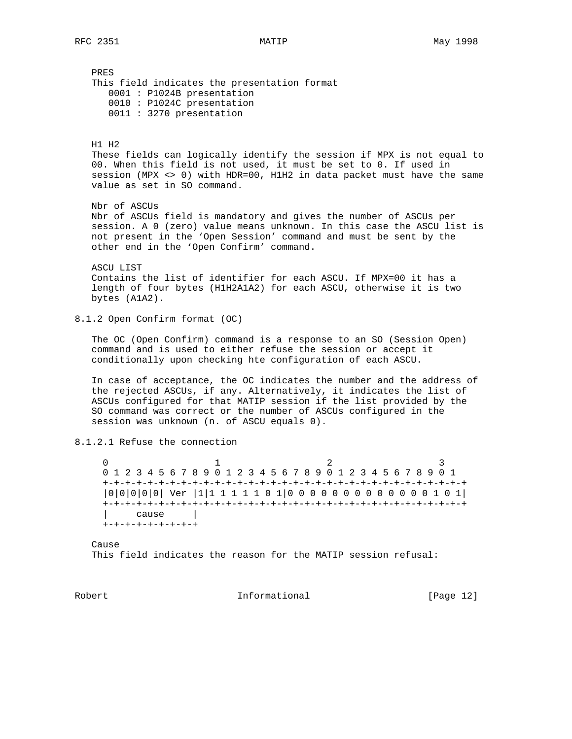PRES This field indicates the presentation format 0001 : P1024B presentation 0010 : P1024C presentation 0011 : 3270 presentation H1 H2 These fields can logically identify the session if MPX is not equal to 00. When this field is not used, it must be set to 0. If used in session (MPX <> 0) with HDR=00, H1H2 in data packet must have the same value as set in SO command. Nbr of ASCUs Nbr\_of\_ASCUs field is mandatory and gives the number of ASCUs per session. A 0 (zero) value means unknown. In this case the ASCU list is not present in the 'Open Session' command and must be sent by the other end in the 'Open Confirm' command. ASCU LIST Contains the list of identifier for each ASCU. If MPX=00 it has a length of four bytes (H1H2A1A2) for each ASCU, otherwise it is two bytes (A1A2). 8.1.2 Open Confirm format (OC) The OC (Open Confirm) command is a response to an SO (Session Open) command and is used to either refuse the session or accept it conditionally upon checking hte configuration of each ASCU. In case of acceptance, the OC indicates the number and the address of the rejected ASCUs, if any. Alternatively, it indicates the list of ASCUs configured for that MATIP session if the list provided by the SO command was correct or the number of ASCUs configured in the session was unknown (n. of ASCU equals 0). 8.1.2.1 Refuse the connection 0  $1$  2 3 0 1 2 3 4 5 6 7 8 9 0 1 2 3 4 5 6 7 8 9 0 1 2 3 4 5 6 7 8 9 0 1 +-+-+-+-+-+-+-+-+-+-+-+-+-+-+-+-+-+-+-+-+-+-+-+-+-+-+-+-+-+-+-+-+ |0|0|0|0|0| Ver |1|1 1 1 1 1 0 1|0 0 0 0 0 0 0 0 0 0 0 0 0 1 0 1| +-+-+-+-+-+-+-+-+-+-+-+-+-+-+-+-+-+-+-+-+-+-+-+-+-+-+-+-+-+-+-+-+ | cause | +-+-+-+-+-+-+-+-+ Cause This field indicates the reason for the MATIP session refusal:

Robert 1nformational [Page 12]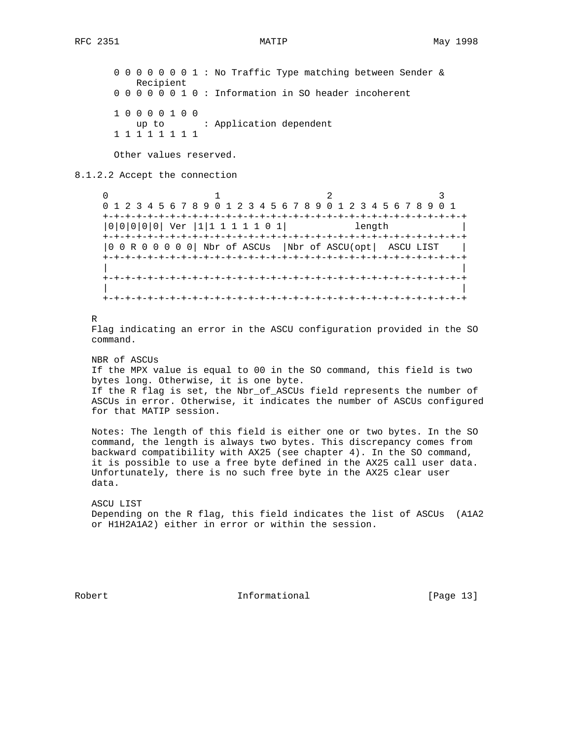0 0 0 0 0 0 0 1 : No Traffic Type matching between Sender & Recipient 0 0 0 0 0 0 1 0 : Information in SO header incoherent 1 0 0 0 0 1 0 0 up to : Application dependent 1 1 1 1 1 1 1 1

Other values reserved.

## 8.1.2.2 Accept the connection

 $0$  1 2 3 0 1 2 3 4 5 6 7 8 9 0 1 2 3 4 5 6 7 8 9 0 1 2 3 4 5 6 7 8 9 0 1 +-+-+-+-+-+-+-+-+-+-+-+-+-+-+-+-+-+-+-+-+-+-+-+-+-+-+-+-+-+-+-+-+ |0|0|0|0|0| Ver |1|1 1 1 1 1 0 1| length | +-+-+-+-+-+-+-+-+-+-+-+-+-+-+-+-+-+-+-+-+-+-+-+-+-+-+-+-+-+-+-+-+ |0 0 R 0 0 0 0 0| Nbr of ASCUs |Nbr of ASCU(opt| ASCU LIST | +-+-+-+-+-+-+-+-+-+-+-+-+-+-+-+-+-+-+-+-+-+-+-+-+-+-+-+-+-+-+-+-+ | | +-+-+-+-+-+-+-+-+-+-+-+-+-+-+-+-+-+-+-+-+-+-+-+-+-+-+-+-+-+-+-+-+ | | +-+-+-+-+-+-+-+-+-+-+-+-+-+-+-+-+-+-+-+-+-+-+-+-+-+-+-+-+-+-+-+-+

R

 Flag indicating an error in the ASCU configuration provided in the SO command.

 NBR of ASCUs If the MPX value is equal to 00 in the SO command, this field is two bytes long. Otherwise, it is one byte. If the R flag is set, the Nbr\_of\_ASCUs field represents the number of ASCUs in error. Otherwise, it indicates the number of ASCUs configured for that MATIP session.

 Notes: The length of this field is either one or two bytes. In the SO command, the length is always two bytes. This discrepancy comes from backward compatibility with AX25 (see chapter 4). In the SO command, it is possible to use a free byte defined in the AX25 call user data. Unfortunately, there is no such free byte in the AX25 clear user data.

 ASCU LIST Depending on the R flag, this field indicates the list of ASCUs (A1A2 or H1H2A1A2) either in error or within the session.

Robert 10 1nformational [Page 13]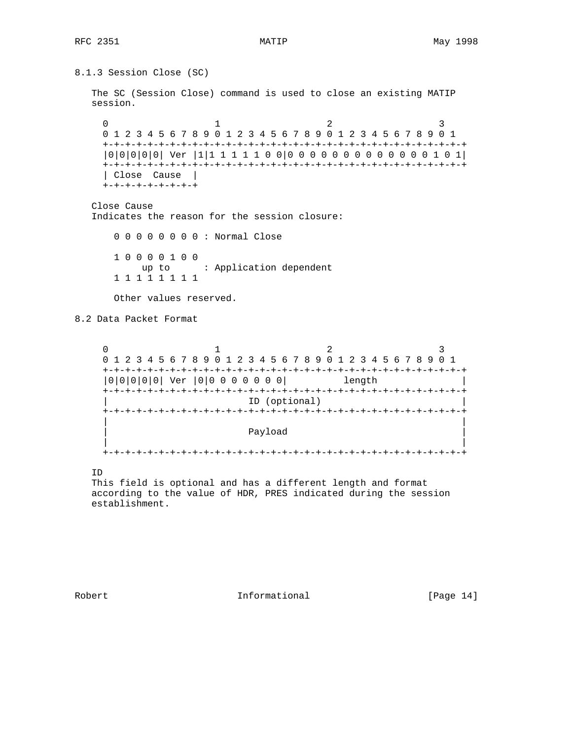```
8.1.3 Session Close (SC)
   The SC (Session Close) command is used to close an existing MATIP
   session.
0 1 2 3
     0 1 2 3 4 5 6 7 8 9 0 1 2 3 4 5 6 7 8 9 0 1 2 3 4 5 6 7 8 9 0 1
     +-+-+-+-+-+-+-+-+-+-+-+-+-+-+-+-+-+-+-+-+-+-+-+-+-+-+-+-+-+-+-+-+
     |0|0|0|0|0| Ver |1|1 1 1 1 1 0 0|0 0 0 0 0 0 0 0 0 0 0 0 0 1 0 1|
     +-+-+-+-+-+-+-+-+-+-+-+-+-+-+-+-+-+-+-+-+-+-+-+-+-+-+-+-+-+-+-+-+
     | Close Cause |
     +-+-+-+-+-+-+-+-+
   Close Cause
   Indicates the reason for the session closure:
       0 0 0 0 0 0 0 0 : Normal Close
       1 0 0 0 0 1 0 0
          up to : Application dependent
       1 1 1 1 1 1 1 1
       Other values reserved.
8.2 Data Packet Format
    0 1 2 3
     0 1 2 3 4 5 6 7 8 9 0 1 2 3 4 5 6 7 8 9 0 1 2 3 4 5 6 7 8 9 0 1
     +-+-+-+-+-+-+-+-+-+-+-+-+-+-+-+-+-+-+-+-+-+-+-+-+-+-+-+-+-+-+-+-+
     |0|0|0|0|0| Ver |0|0 0 0 0 0 0 0| length |
     +-+-+-+-+-+-+-+-+-+-+-+-+-+-+-+-+-+-+-+-+-+-+-+-+-+-+-+-+-+-+-+-+
                          ID (optional)
     +-+-+-+-+-+-+-+-+-+-+-+-+-+-+-+-+-+-+-+-+-+-+-+-+-+-+-+-+-+-+-+-+
 | |
| Payload | Payload | Payload | Payload | Payload | Payload | Payload | Payload | Payload | Payload | Payload |
 | |
     +-+-+-+-+-+-+-+-+-+-+-+-+-+-+-+-+-+-+-+-+-+-+-+-+-+-+-+-+-+-+-+-+
   ID
   This field is optional and has a different length and format
   according to the value of HDR, PRES indicated during the session
   establishment.
```
Robert 10 1nformational [Page 14]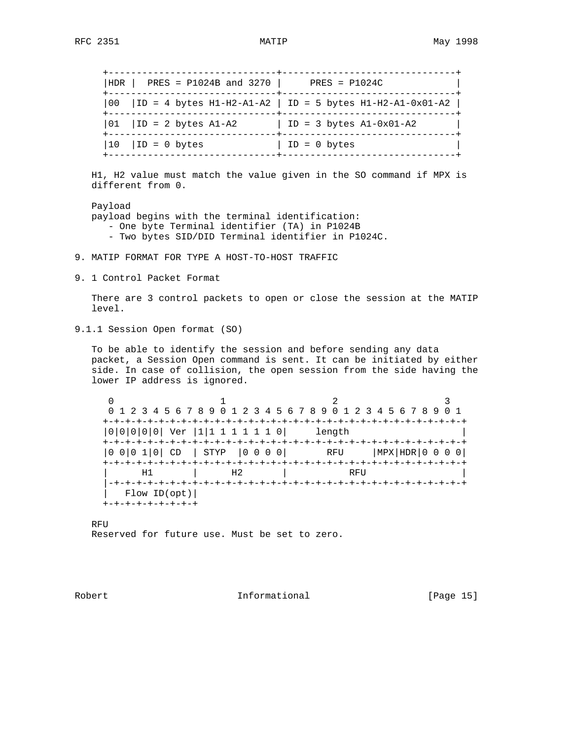+------------------------------+-------------------------------+ |HDR | PRES = P1024B and 3270 | PRES = P1024C | +------------------------------+-------------------------------+ |00 |ID = 4 bytes H1-H2-A1-A2 | ID = 5 bytes H1-H2-A1-0x01-A2 | +------------------------------+-------------------------------+  $|01|$   $|1D = 2$  bytes A1-A2  $|1D = 3$  bytes A1-0x01-A2 +------------------------------+-------------------------------+  $|10|$   $|1D = 0$  bytes  $|1D = 0$  bytes +------------------------------+-------------------------------+ H1, H2 value must match the value given in the SO command if MPX is different from 0. Payload payload begins with the terminal identification: - One byte Terminal identifier (TA) in P1024B - Two bytes SID/DID Terminal identifier in P1024C. 9. MATIP FORMAT FOR TYPE A HOST-TO-HOST TRAFFIC 9. 1 Control Packet Format There are 3 control packets to open or close the session at the MATIP level. 9.1.1 Session Open format (SO) To be able to identify the session and before sending any data packet, a Session Open command is sent. It can be initiated by either side. In case of collision, the open session from the side having the lower IP address is ignored. 0  $1$   $2$   $3$  0 1 2 3 4 5 6 7 8 9 0 1 2 3 4 5 6 7 8 9 0 1 2 3 4 5 6 7 8 9 0 1 +-+-+-+-+-+-+-+-+-+-+-+-+-+-+-+-+-+-+-+-+-+-+-+-+-+-+-+-+-+-+-+-+ |0|0|0|0|0| Ver |1|1 1 1 1 1 1 0| length | +-+-+-+-+-+-+-+-+-+-+-+-+-+-+-+-+-+-+-+-+-+-+-+-+-+-+-+-+-+-+-+-+ |0 0|0 1|0| CD | STYP |0 0 0 0| RFU |MPX|HDR|0 0 0 0| +-+-+-+-+-+-+-+-+-+-+-+-+-+-+-+-+-+-+-+-+-+-+-+-+-+-+-+-+-+-+-+-+

 | Flow ID(opt)| +-+-+-+-+-+-+-+-+

 RFU Reserved for future use. Must be set to zero.

H1 | H2 | RFU

Robert 10 1nformational [Page 15]

|-+-+-+-+-+-+-+-+-+-+-+-+-+-+-+-+-+-+-+-+-+-+-+-+-+-+-+-+-+-+-+-+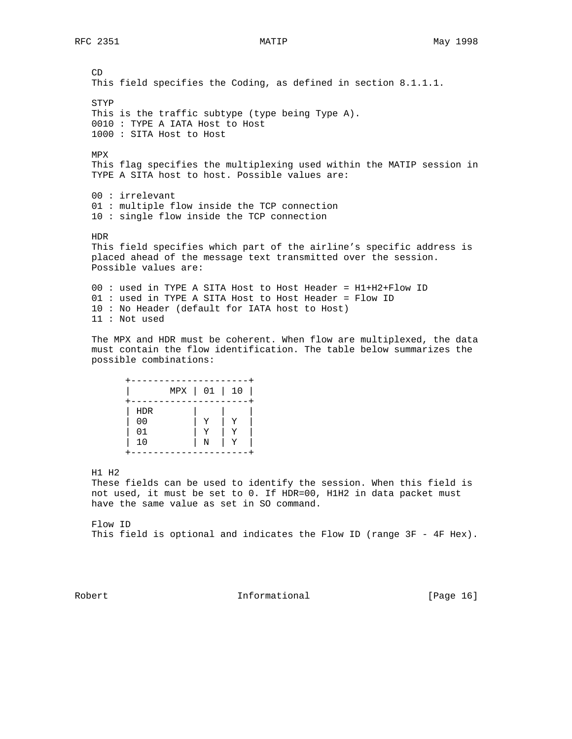CD This field specifies the Coding, as defined in section 8.1.1.1. STYP This is the traffic subtype (type being Type A). 0010 : TYPE A IATA Host to Host 1000 : SITA Host to Host MPX This flag specifies the multiplexing used within the MATIP session in TYPE A SITA host to host. Possible values are: 00 : irrelevant 01 : multiple flow inside the TCP connection 10 : single flow inside the TCP connection HDR This field specifies which part of the airline's specific address is placed ahead of the message text transmitted over the session. Possible values are: 00 : used in TYPE A SITA Host to Host Header = H1+H2+Flow ID 01 : used in TYPE A SITA Host to Host Header = Flow ID 10 : No Header (default for IATA host to Host) 11 : Not used

 The MPX and HDR must be coherent. When flow are multiplexed, the data must contain the flow identification. The table below summarizes the possible combinations:

|                                          | MPX   01   10 |   |   |
|------------------------------------------|---------------|---|---|
| <b>HDR</b><br>0 <sub>0</sub><br>01<br>10 |               | Ν | Y |
|                                          |               |   |   |

H1 H2

 These fields can be used to identify the session. When this field is not used, it must be set to 0. If HDR=00, H1H2 in data packet must have the same value as set in SO command.

 Flow ID This field is optional and indicates the Flow ID (range 3F - 4F Hex).

Robert 1nformational [Page 16]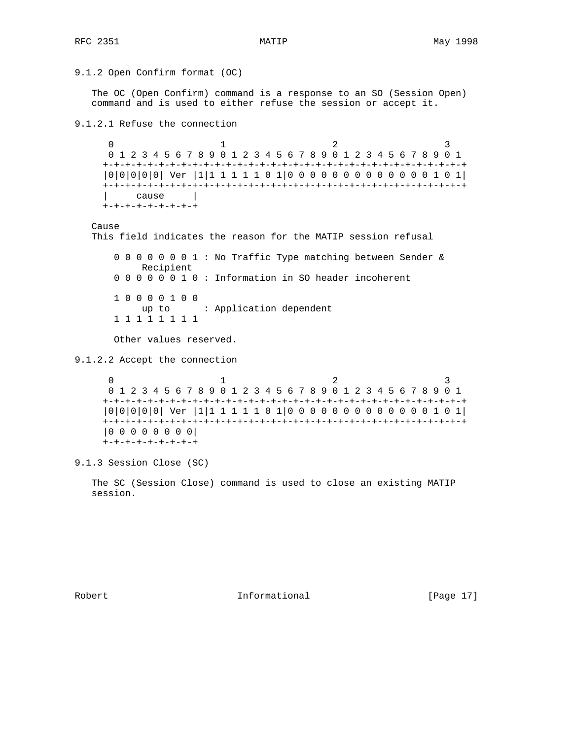```
9.1.2 Open Confirm format (OC)
```
 The OC (Open Confirm) command is a response to an SO (Session Open) command and is used to either refuse the session or accept it.

9.1.2.1 Refuse the connection

 $0$  and  $1$  and  $2$  3 0 1 2 3 4 5 6 7 8 9 0 1 2 3 4 5 6 7 8 9 0 1 2 3 4 5 6 7 8 9 0 1 +-+-+-+-+-+-+-+-+-+-+-+-+-+-+-+-+-+-+-+-+-+-+-+-+-+-+-+-+-+-+-+-+ |0|0|0|0|0| Ver |1|1 1 1 1 1 0 1|0 0 0 0 0 0 0 0 0 0 0 0 0 1 0 1| +-+-+-+-+-+-+-+-+-+-+-+-+-+-+-+-+-+-+-+-+-+-+-+-+-+-+-+-+-+-+-+-+ | cause | +-+-+-+-+-+-+-+-+

### Cause

This field indicates the reason for the MATIP session refusal

 0 0 0 0 0 0 0 1 : No Traffic Type matching between Sender & Recipient 0 0 0 0 0 0 1 0 : Information in SO header incoherent 1 0 0 0 0 1 0 0 up to : Application dependent 1 1 1 1 1 1 1 1

Other values reserved.

9.1.2.2 Accept the connection

 $0$  and  $1$  and  $2$  3 0 1 2 3 4 5 6 7 8 9 0 1 2 3 4 5 6 7 8 9 0 1 2 3 4 5 6 7 8 9 0 1 +-+-+-+-+-+-+-+-+-+-+-+-+-+-+-+-+-+-+-+-+-+-+-+-+-+-+-+-+-+-+-+-+ |0|0|0|0|0| Ver |1|1 1 1 1 1 0 1|0 0 0 0 0 0 0 0 0 0 0 0 0 1 0 1| +-+-+-+-+-+-+-+-+-+-+-+-+-+-+-+-+-+-+-+-+-+-+-+-+-+-+-+-+-+-+-+-+ |0 0 0 0 0 0 0 0| +-+-+-+-+-+-+-+-+

9.1.3 Session Close (SC)

 The SC (Session Close) command is used to close an existing MATIP session.

Robert 10 1nformational [Page 17]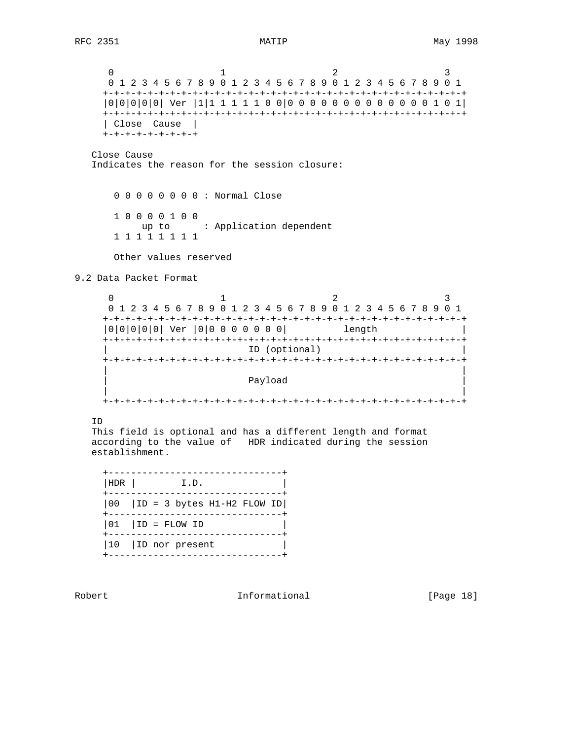$0$  and  $1$  and  $2$  3 0 1 2 3 4 5 6 7 8 9 0 1 2 3 4 5 6 7 8 9 0 1 2 3 4 5 6 7 8 9 0 1 +-+-+-+-+-+-+-+-+-+-+-+-+-+-+-+-+-+-+-+-+-+-+-+-+-+-+-+-+-+-+-+-+ |0|0|0|0|0| Ver |1|1 1 1 1 1 0 0|0 0 0 0 0 0 0 0 0 0 0 0 0 1 0 1| +-+-+-+-+-+-+-+-+-+-+-+-+-+-+-+-+-+-+-+-+-+-+-+-+-+-+-+-+-+-+-+-+ | Close Cause | +-+-+-+-+-+-+-+-+ Close Cause Indicates the reason for the session closure: 0 0 0 0 0 0 0 0 : Normal Close 1 0 0 0 0 1 0 0 up to : Application dependent 1 1 1 1 1 1 1 1 Other values reserved 9.2 Data Packet Format  $0$  and  $1$  and  $2$  3 0 1 2 3 4 5 6 7 8 9 0 1 2 3 4 5 6 7 8 9 0 1 2 3 4 5 6 7 8 9 0 1 +-+-+-+-+-+-+-+-+-+-+-+-+-+-+-+-+-+-+-+-+-+-+-+-+-+-+-+-+-+-+-+-+ |0|0|0|0|0| Ver |0|0 0 0 0 0 0 0| length | +-+-+-+-+-+-+-+-+-+-+-+-+-+-+-+-+-+-+-+-+-+-+-+-+-+-+-+-+-+-+-+-+ ID (optional) +-+-+-+-+-+-+-+-+-+-+-+-+-+-+-+-+-+-+-+-+-+-+-+-+-+-+-+-+-+-+-+-+ | | | Payload | Payload | Payload | Payload | Payload | Payload | Payload | Payload | Payload | Payload | Payload | | | +-+-+-+-+-+-+-+-+-+-+-+-+-+-+-+-+-+-+-+-+-+-+-+-+-+-+-+-+-+-+-+-+ ID This field is optional and has a different length and format according to the value of HDR indicated during the session establishment. +-------------------------------+  $|HDR|$   $I.D.$  +-------------------------------+  $|00|$   $|1D = 3$  bytes H1-H2 FLOW ID +-------------------------------+  $|01|$   $|1D =$  FLOW ID +-------------------------------+ |10 |ID nor present | +-------------------------------+ Robert 1nformational [Page 18]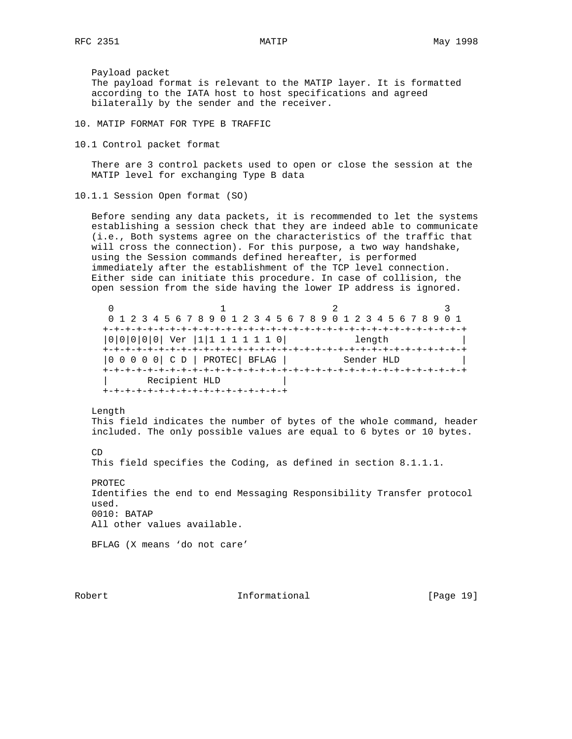Payload packet The payload format is relevant to the MATIP layer. It is formatted according to the IATA host to host specifications and agreed bilaterally by the sender and the receiver.

10. MATIP FORMAT FOR TYPE B TRAFFIC

10.1 Control packet format

 There are 3 control packets used to open or close the session at the MATIP level for exchanging Type B data

10.1.1 Session Open format (SO)

 Before sending any data packets, it is recommended to let the systems establishing a session check that they are indeed able to communicate (i.e., Both systems agree on the characteristics of the traffic that will cross the connection). For this purpose, a two way handshake, using the Session commands defined hereafter, is performed immediately after the establishment of the TCP level connection. Either side can initiate this procedure. In case of collision, the open session from the side having the lower IP address is ignored.

|                                     | 0 1 2 3 4 5 6 7 8 9 0 1 2 3 4 5 6 7 8 9 0 1 2 3 4 5 6 7 8 9 0 1 |            |  |
|-------------------------------------|-----------------------------------------------------------------|------------|--|
|                                     | +-+-+-+-+-+-+-+-+-+-+-+-+-+-+-+-+-+                             |            |  |
| $ 0 0 0 0 0 $ Ver $ 1 1 1 1 1 1 0 $ |                                                                 | length     |  |
|                                     |                                                                 |            |  |
| $ 0 0 0 0 0 $ C D   PROTEC   BFLAG  |                                                                 | Sender HLD |  |
|                                     |                                                                 |            |  |
| Recipient HLD                       |                                                                 |            |  |
|                                     |                                                                 |            |  |

Length

 This field indicates the number of bytes of the whole command, header included. The only possible values are equal to 6 bytes or 10 bytes.

CD

This field specifies the Coding, as defined in section 8.1.1.1.

 PROTEC Identifies the end to end Messaging Responsibility Transfer protocol used. 0010: BATAP All other values available.

BFLAG (X means 'do not care'

Robert 10 1nformational [Page 19]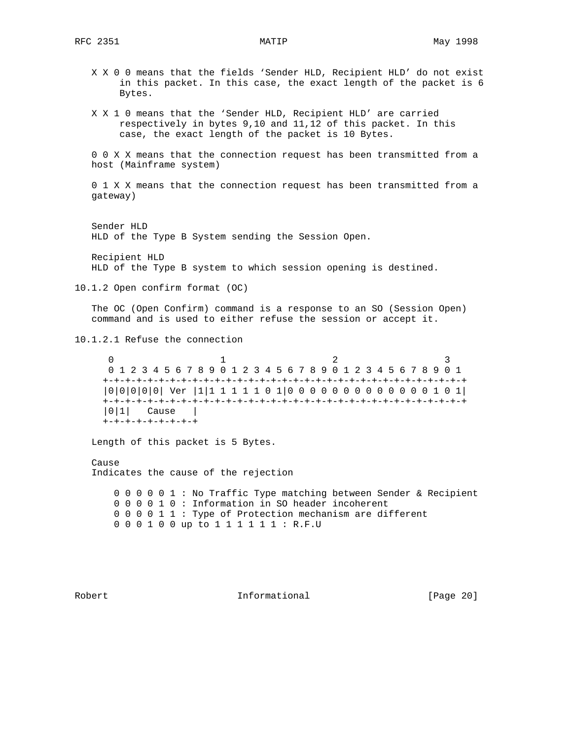X X 0 0 means that the fields 'Sender HLD, Recipient HLD' do not exist in this packet. In this case, the exact length of the packet is 6 Bytes.

 X X 1 0 means that the 'Sender HLD, Recipient HLD' are carried respectively in bytes 9,10 and 11,12 of this packet. In this case, the exact length of the packet is 10 Bytes.

 0 0 X X means that the connection request has been transmitted from a host (Mainframe system)

 0 1 X X means that the connection request has been transmitted from a gateway)

 Sender HLD HLD of the Type B System sending the Session Open.

 Recipient HLD HLD of the Type B system to which session opening is destined.

10.1.2 Open confirm format (OC)

 The OC (Open Confirm) command is a response to an SO (Session Open) command and is used to either refuse the session or accept it.

10.1.2.1 Refuse the connection

 $0$  and  $1$  and  $2$  3 0 1 2 3 4 5 6 7 8 9 0 1 2 3 4 5 6 7 8 9 0 1 2 3 4 5 6 7 8 9 0 1 +-+-+-+-+-+-+-+-+-+-+-+-+-+-+-+-+-+-+-+-+-+-+-+-+-+-+-+-+-+-+-+-+ |0|0|0|0|0| Ver |1|1 1 1 1 1 0 1|0 0 0 0 0 0 0 0 0 0 0 0 0 1 0 1| +-+-+-+-+-+-+-+-+-+-+-+-+-+-+-+-+-+-+-+-+-+-+-+-+-+-+-+-+-+-+-+-+ |0|1| Cause | +-+-+-+-+-+-+-+-+

Length of this packet is 5 Bytes.

 Cause Indicates the cause of the rejection

 0 0 0 0 0 1 : No Traffic Type matching between Sender & Recipient 0 0 0 0 1 0 : Information in SO header incoherent 0 0 0 0 1 1 : Type of Protection mechanism are different 0 0 0 1 0 0 up to 1 1 1 1 1 1 : R.F.U

Robert 10 1nformational [Page 20]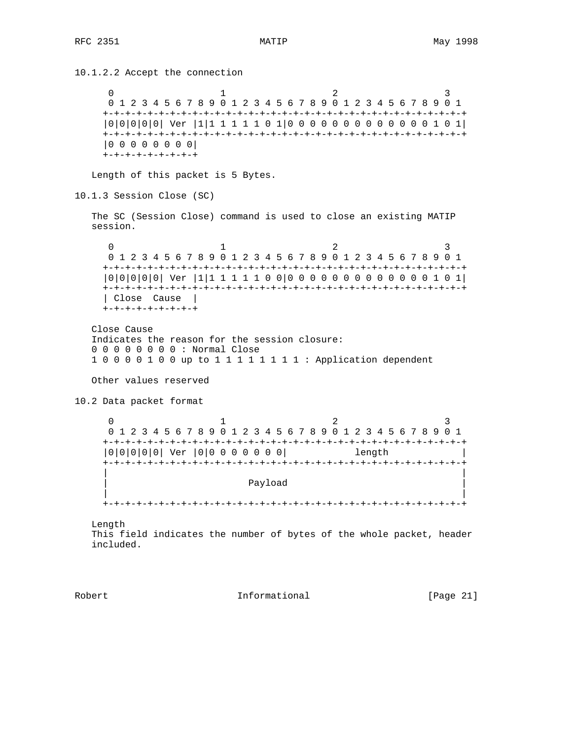10.1.2.2 Accept the connection 0  $1$   $2$   $3$  0 1 2 3 4 5 6 7 8 9 0 1 2 3 4 5 6 7 8 9 0 1 2 3 4 5 6 7 8 9 0 1 +-+-+-+-+-+-+-+-+-+-+-+-+-+-+-+-+-+-+-+-+-+-+-+-+-+-+-+-+-+-+-+-+ |0|0|0|0|0| Ver |1|1 1 1 1 1 0 1|0 0 0 0 0 0 0 0 0 0 0 0 0 1 0 1| +-+-+-+-+-+-+-+-+-+-+-+-+-+-+-+-+-+-+-+-+-+-+-+-+-+-+-+-+-+-+-+-+ |0 0 0 0 0 0 0 0| +-+-+-+-+-+-+-+-+ Length of this packet is 5 Bytes. 10.1.3 Session Close (SC) The SC (Session Close) command is used to close an existing MATIP session. 0  $1$   $2$   $3$  0 1 2 3 4 5 6 7 8 9 0 1 2 3 4 5 6 7 8 9 0 1 2 3 4 5 6 7 8 9 0 1 +-+-+-+-+-+-+-+-+-+-+-+-+-+-+-+-+-+-+-+-+-+-+-+-+-+-+-+-+-+-+-+-+ |0|0|0|0|0| Ver |1|1 1 1 1 1 0 0|0 0 0 0 0 0 0 0 0 0 0 0 0 1 0 1| +-+-+-+-+-+-+-+-+-+-+-+-+-+-+-+-+-+-+-+-+-+-+-+-+-+-+-+-+-+-+-+-+ | Close Cause | +-+-+-+-+-+-+-+-+ Close Cause Indicates the reason for the session closure: 0 0 0 0 0 0 0 0 : Normal Close 1 0 0 0 0 1 0 0 up to 1 1 1 1 1 1 1 1 : Application dependent Other values reserved 10.2 Data packet format  $0$  and  $1$  and  $2$  3 0 1 2 3 4 5 6 7 8 9 0 1 2 3 4 5 6 7 8 9 0 1 2 3 4 5 6 7 8 9 0 1 +-+-+-+-+-+-+-+-+-+-+-+-+-+-+-+-+-+-+-+-+-+-+-+-+-+-+-+-+-+-+-+-+ |0|0|0|0|0| Ver |0|0 0 0 0 0 0 0| length | +-+-+-+-+-+-+-+-+-+-+-+-+-+-+-+-+-+-+-+-+-+-+-+-+-+-+-+-+-+-+-+-+ | | | Payload | Payload | Payload | Payload | Payload | Payload | Payload | Payload | Payload | Payload | Payload | | | +-+-+-+-+-+-+-+-+-+-+-+-+-+-+-+-+-+-+-+-+-+-+-+-+-+-+-+-+-+-+-+-+ Length This field indicates the number of bytes of the whole packet, header included.

Robert 10 1nformational [Page 21]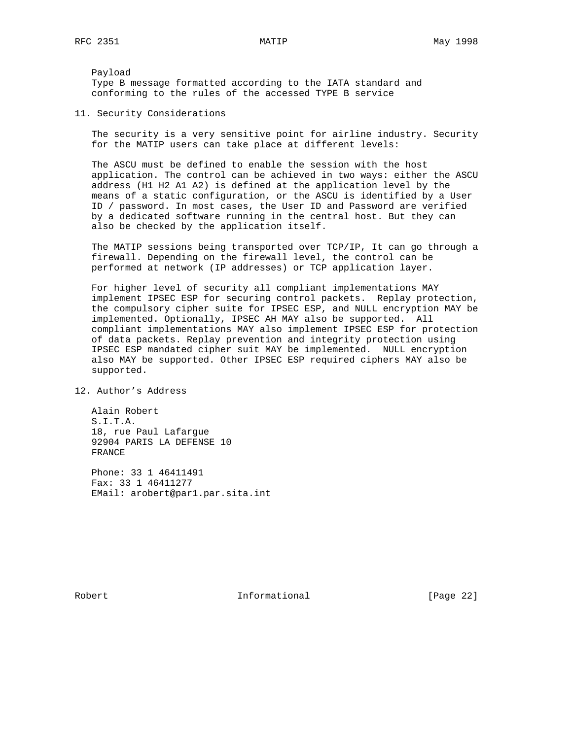Payload Type B message formatted according to the IATA standard and conforming to the rules of the accessed TYPE B service

11. Security Considerations

 The security is a very sensitive point for airline industry. Security for the MATIP users can take place at different levels:

 The ASCU must be defined to enable the session with the host application. The control can be achieved in two ways: either the ASCU address (H1 H2 A1 A2) is defined at the application level by the means of a static configuration, or the ASCU is identified by a User ID / password. In most cases, the User ID and Password are verified by a dedicated software running in the central host. But they can also be checked by the application itself.

 The MATIP sessions being transported over TCP/IP, It can go through a firewall. Depending on the firewall level, the control can be performed at network (IP addresses) or TCP application layer.

 For higher level of security all compliant implementations MAY implement IPSEC ESP for securing control packets. Replay protection, the compulsory cipher suite for IPSEC ESP, and NULL encryption MAY be implemented. Optionally, IPSEC AH MAY also be supported. All compliant implementations MAY also implement IPSEC ESP for protection of data packets. Replay prevention and integrity protection using IPSEC ESP mandated cipher suit MAY be implemented. NULL encryption also MAY be supported. Other IPSEC ESP required ciphers MAY also be supported.

12. Author's Address

 Alain Robert S.I.T.A. 18, rue Paul Lafargue 92904 PARIS LA DEFENSE 10 FRANCE

 Phone: 33 1 46411491 Fax: 33 1 46411277 EMail: arobert@par1.par.sita.int

Robert 10 1nformational [Page 22]